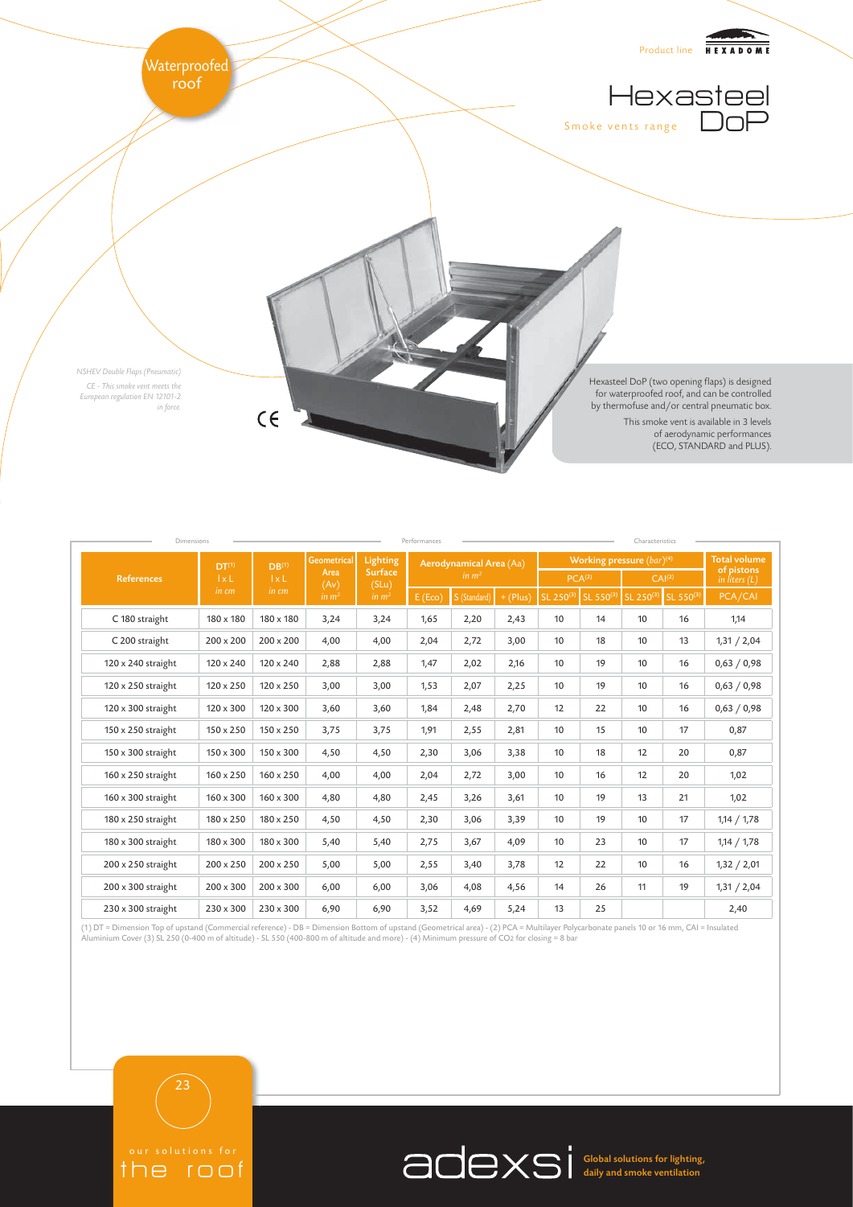

| Dimensions<br>Performances<br>Characteristics |                                            |                                            |                                                         |                                                          |                                    |              |            |                                |           |                    |                     |                                                      |
|-----------------------------------------------|--------------------------------------------|--------------------------------------------|---------------------------------------------------------|----------------------------------------------------------|------------------------------------|--------------|------------|--------------------------------|-----------|--------------------|---------------------|------------------------------------------------------|
| <b>References</b>                             | DT <sup>(1)</sup><br>$1 \times L$<br>in cm | DB <sup>(1)</sup><br>$l \times L$<br>in cm | <b>Geometrical</b><br>Area<br>(Av)<br>in m <sup>2</sup> | Lighting<br><b>Surface</b><br>(SLu)<br>in m <sup>2</sup> | Aerodynamical Area (Aa)<br>in $m2$ |              |            | Working pressure $(bar)^{(4)}$ |           |                    |                     | <b>Total volume</b><br>of pistons<br>in liters $(L)$ |
|                                               |                                            |                                            |                                                         |                                                          |                                    |              |            | PCA <sup>(2)</sup>             |           | CAI <sup>(2)</sup> |                     |                                                      |
|                                               |                                            |                                            |                                                         |                                                          | E(Eco)                             | S (Standard) | $+$ (Plus) | SL 250(3)                      | SL 550(3) |                    | SL 250(3) SL 550(3) | PCA/CAI                                              |
| C 180 straight                                | 180 x 180                                  | 180 x 180                                  | 3,24                                                    | 3,24                                                     | 1,65                               | 2,20         | 2,43       | 10                             | 14        | 10                 | 16                  | 1,14                                                 |
| C 200 straight                                | 200 x 200                                  | $200 \times 200$                           | 4,00                                                    | 4,00                                                     | 2,04                               | 2,72         | 3,00       | 10                             | 18        | 10                 | 13                  | 1,31 / 2,04                                          |
| 120 x 240 straight                            | 120 x 240                                  | 120 x 240                                  | 2,88                                                    | 2,88                                                     | 1,47                               | 2,02         | 2,16       | 10                             | 19        | 10                 | 16                  | 0,63 / 0,98                                          |
| 120 x 250 straight                            | 120 x 250                                  | 120 x 250                                  | 3,00                                                    | 3,00                                                     | 1,53                               | 2,07         | 2,25       | 10                             | 19        | 10                 | 16                  | 0,63 / 0,98                                          |
| 120 x 300 straight                            | 120 x 300                                  | $120 \times 300$                           | 3,60                                                    | 3,60                                                     | 1,84                               | 2,48         | 2,70       | 12                             | 22        | 10                 | 16                  | 0,63 / 0,98                                          |
| 150 x 250 straight                            | 150 x 250                                  | $150 \times 250$                           | 3,75                                                    | 3,75                                                     | 1,91                               | 2,55         | 2,81       | 10                             | 15        | 10                 | 17                  | 0,87                                                 |
| 150 x 300 straight                            | 150 x 300                                  | 150 x 300                                  | 4,50                                                    | 4,50                                                     | 2,30                               | 3,06         | 3,38       | 10                             | 18        | 12                 | 20                  | 0,87                                                 |
| 160 x 250 straight                            | 160 x 250                                  | $160 \times 250$                           | 4,00                                                    | 4,00                                                     | 2,04                               | 2,72         | 3,00       | 10                             | 16        | 12                 | 20                  | 1,02                                                 |
| 160 x 300 straight                            | $160 \times 300$                           | $160 \times 300$                           | 4,80                                                    | 4,80                                                     | 2,45                               | 3,26         | 3,61       | 10                             | 19        | 13                 | 21                  | 1,02                                                 |
| 180 x 250 straight                            | 180 x 250                                  | 180 x 250                                  | 4,50                                                    | 4,50                                                     | 2,30                               | 3,06         | 3,39       | 10                             | 19        | 10                 | 17                  | 1,14 / 1,78                                          |
| 180 x 300 straight                            | 180 x 300                                  | 180 x 300                                  | 5,40                                                    | 5,40                                                     | 2,75                               | 3,67         | 4,09       | 10                             | 23        | 10                 | 17                  | 1,14 / 1,78                                          |
| 200 x 250 straight                            | 200 x 250                                  | $200 \times 250$                           | 5,00                                                    | 5,00                                                     | 2,55                               | 3,40         | 3,78       | 12                             | 22        | 10                 | 16                  | 1,32 / 2,01                                          |
| 200 x 300 straight                            | 200 x 300                                  | $200 \times 300$                           | 6,00                                                    | 6,00                                                     | 3,06                               | 4,08         | 4,56       | 14                             | 26        | 11                 | 19                  | 1,31 / 2,04                                          |
| 230 x 300 straight                            | $230 \times 300$                           | $230 \times 300$                           | 6,90                                                    | 6,90                                                     | 3,52                               | 4,69         | 5,24       | 13                             | 25        |                    |                     | 2,40                                                 |

(1) DT = Dimension Top of upstand (Commercial reference) - DB = Dimension Bottom of upstand (Geometrical area) - (2) PCA = Multilayer Polycarbonate panels 10 or 16 mm, CAI = Insulated<br>Aluminium Cover (3) SL 250 (0-400 m of

the roof

23

Global solutions for lighting, daily and smoke ventilation